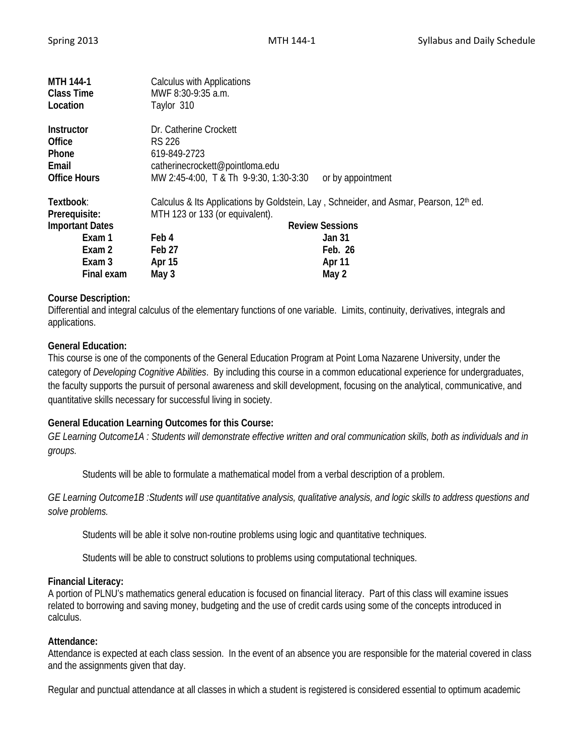| <b>MTH 144-1</b><br><b>Class Time</b><br>Location                    | <b>Calculus with Applications</b><br>MWF 8:30-9:35 a.m.<br>Taylor 310                                                                          |                                  |
|----------------------------------------------------------------------|------------------------------------------------------------------------------------------------------------------------------------------------|----------------------------------|
| <b>Instructor</b><br>Office<br>Phone<br>Email<br><b>Office Hours</b> | Dr. Catherine Crockett<br>RS 226<br>619-849-2723<br>catherinecrockett@pointloma.edu<br>MW 2:45-4:00, T & Th 9-9:30, 1:30-3:30                  | or by appointment                |
| Textbook:<br>Prerequisite:<br><b>Important Dates</b><br>Exam 1       | Calculus & Its Applications by Goldstein, Lay, Schneider, and Asmar, Pearson, 12 <sup>th</sup> ed.<br>MTH 123 or 133 (or equivalent).<br>Feb 4 | <b>Review Sessions</b><br>Jan 31 |
| Exam 2<br>Exam 3<br>Final exam                                       | Feb <sub>27</sub><br>Apr 15<br>May 3                                                                                                           | Feb. 26<br>Apr 11<br>May 2       |

## **Course Description:**

Differential and integral calculus of the elementary functions of one variable. Limits, continuity, derivatives, integrals and applications.

## **General Education:**

This course is one of the components of the General Education Program at Point Loma Nazarene University, under the category of *Developing Cognitive Abilities*. By including this course in a common educational experience for undergraduates, the faculty supports the pursuit of personal awareness and skill development, focusing on the analytical, communicative, and quantitative skills necessary for successful living in society.

# **General Education Learning Outcomes for this Course:**

*GE Learning Outcome1A : Students will demonstrate effective written and oral communication skills, both as individuals and in groups.*

Students will be able to formulate a mathematical model from a verbal description of a problem.

*GE Learning Outcome1B :Students will use quantitative analysis, qualitative analysis, and logic skills to address questions and solve problems.*

Students will be able it solve non-routine problems using logic and quantitative techniques.

Students will be able to construct solutions to problems using computational techniques.

### **Financial Literacy:**

A portion of PLNU's mathematics general education is focused on financial literacy. Part of this class will examine issues related to borrowing and saving money, budgeting and the use of credit cards using some of the concepts introduced in calculus.

### **Attendance:**

Attendance is expected at each class session. In the event of an absence you are responsible for the material covered in class and the assignments given that day.

Regular and punctual attendance at all classes in which a student is registered is considered essential to optimum academic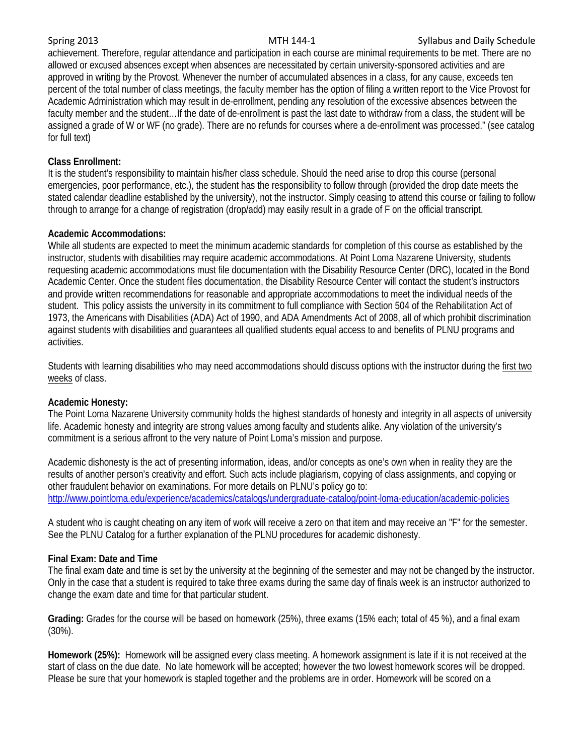### Spring 2013 **Spring 2013** MTH 144-1 Syllabus and Daily Schedule

achievement. Therefore, regular attendance and participation in each course are minimal requirements to be met. There are no allowed or excused absences except when absences are necessitated by certain university-sponsored activities and are approved in writing by the Provost. Whenever the number of accumulated absences in a class, for any cause, exceeds ten percent of the total number of class meetings, the faculty member has the option of filing a written report to the Vice Provost for Academic Administration which may result in de-enrollment, pending any resolution of the excessive absences between the faculty member and the student…If the date of de-enrollment is past the last date to withdraw from a class, the student will be assigned a grade of W or WF (no grade). There are no refunds for courses where a de-enrollment was processed." (see catalog for full text)

## **Class Enrollment:**

It is the student's responsibility to maintain his/her class schedule. Should the need arise to drop this course (personal emergencies, poor performance, etc.), the student has the responsibility to follow through (provided the drop date meets the stated calendar deadline established by the university), not the instructor. Simply ceasing to attend this course or failing to follow through to arrange for a change of registration (drop/add) may easily result in a grade of F on the official transcript.

## **Academic Accommodations:**

While all students are expected to meet the minimum academic standards for completion of this course as established by the instructor, students with disabilities may require academic accommodations. At Point Loma Nazarene University, students requesting academic accommodations must file documentation with the Disability Resource Center (DRC), located in the Bond Academic Center. Once the student files documentation, the Disability Resource Center will contact the student's instructors and provide written recommendations for reasonable and appropriate accommodations to meet the individual needs of the student. This policy assists the university in its commitment to full compliance with Section 504 of the Rehabilitation Act of 1973, the Americans with Disabilities (ADA) Act of 1990, and ADA Amendments Act of 2008, all of which prohibit discrimination against students with disabilities and guarantees all qualified students equal access to and benefits of PLNU programs and activities.

Students with learning disabilities who may need accommodations should discuss options with the instructor during the first two weeks of class.

### **Academic Honesty:**

The Point Loma Nazarene University community holds the highest standards of honesty and integrity in all aspects of university life. Academic honesty and integrity are strong values among faculty and students alike. Any violation of the university's commitment is a serious affront to the very nature of Point Loma's mission and purpose.

Academic dishonesty is the act of presenting information, ideas, and/or concepts as one's own when in reality they are the results of another person's creativity and effort. Such acts include plagiarism, copying of class assignments, and copying or other fraudulent behavior on examinations. For more details on PLNU's policy go to: <http://www.pointloma.edu/experience/academics/catalogs/undergraduate-catalog/point-loma-education/academic-policies>

A student who is caught cheating on any item of work will receive a zero on that item and may receive an "F" for the semester. See the PLNU Catalog for a further explanation of the PLNU procedures for academic dishonesty.

# **Final Exam: Date and Time**

The final exam date and time is set by the university at the beginning of the semester and may not be changed by the instructor. Only in the case that a student is required to take three exams during the same day of finals week is an instructor authorized to change the exam date and time for that particular student.

**Grading:** Grades for the course will be based on homework (25%), three exams (15% each; total of 45 %), and a final exam (30%).

**Homework (25%):** Homework will be assigned every class meeting. A homework assignment is late if it is not received at the start of class on the due date. No late homework will be accepted; however the two lowest homework scores will be dropped. Please be sure that your homework is stapled together and the problems are in order. Homework will be scored on a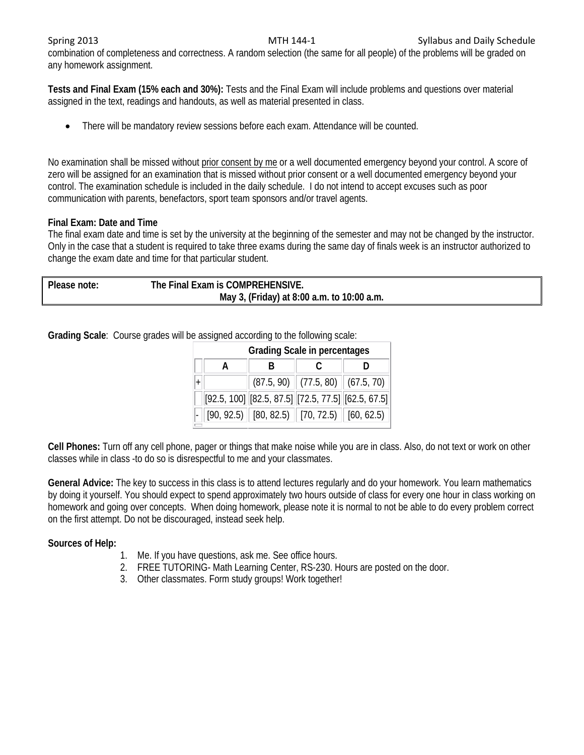combination of completeness and correctness. A random selection (the same for all people) of the problems will be graded on any homework assignment.

**Tests and Final Exam (15% each and 30%):** Tests and the Final Exam will include problems and questions over material assigned in the text, readings and handouts, as well as material presented in class.

• There will be mandatory review sessions before each exam. Attendance will be counted.

No examination shall be missed without prior consent by me or a well documented emergency beyond your control. A score of zero will be assigned for an examination that is missed without prior consent or a well documented emergency beyond your control. The examination schedule is included in the daily schedule. I do not intend to accept excuses such as poor communication with parents, benefactors, sport team sponsors and/or travel agents.

## **Final Exam: Date and Time**

The final exam date and time is set by the university at the beginning of the semester and may not be changed by the instructor. Only in the case that a student is required to take three exams during the same day of finals week is an instructor authorized to change the exam date and time for that particular student.

| Please note: | The Final Exam is COMPREHENSIVE.           |  |
|--------------|--------------------------------------------|--|
|              | May 3, (Friday) at 8:00 a.m. to 10:00 a.m. |  |

**Grading Scale**: Course grades will be assigned according to the following scale:

| <b>Grading Scale in percentages</b> |  |                                                                      |  |                                        |  |  |
|-------------------------------------|--|----------------------------------------------------------------------|--|----------------------------------------|--|--|
|                                     |  |                                                                      |  |                                        |  |  |
|                                     |  |                                                                      |  | $(87.5, 90)$ $(77.5, 80)$ $(67.5, 70)$ |  |  |
|                                     |  | $[92.5, 100]$ $[82.5, 87.5]$ $[72.5, 77.5]$ $[62.5, 67.5]$           |  |                                        |  |  |
|                                     |  | $\ $ [90, 92.5) $\ $ [80, 82.5) $\ $ [70, 72.5) $\ $ [60, 62.5) $\ $ |  |                                        |  |  |

**Cell Phones:** Turn off any cell phone, pager or things that make noise while you are in class. Also, do not text or work on other classes while in class -to do so is disrespectful to me and your classmates.

**General Advice:** The key to success in this class is to attend lectures regularly and do your homework. You learn mathematics by doing it yourself. You should expect to spend approximately two hours outside of class for every one hour in class working on homework and going over concepts. When doing homework, please note it is normal to not be able to do every problem correct on the first attempt. Do not be discouraged, instead seek help.

### **Sources of Help:**

- 1. Me. If you have questions, ask me. See office hours.
- 2. FREE TUTORING- Math Learning Center, RS-230. Hours are posted on the door.
- 3. Other classmates. Form study groups! Work together!